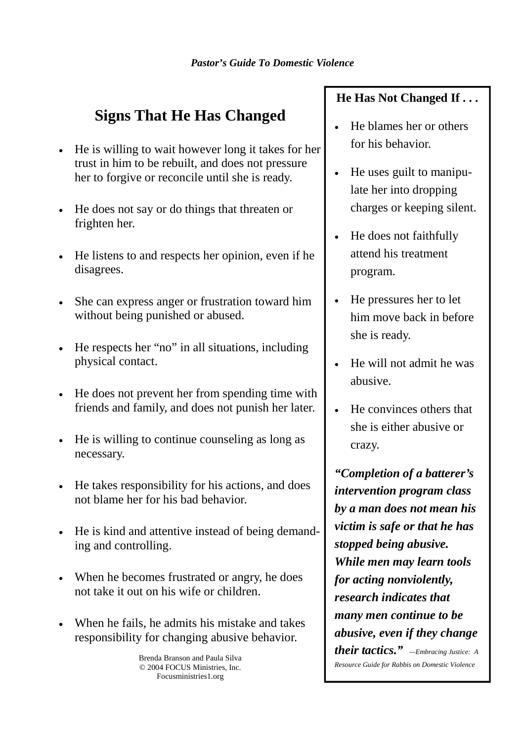## **Signs That He Has Changed**

- He is willing to wait however long it takes for her trust in him to be rebuilt, and does not pressure her to forgive or reconcile until she is ready.
- He does not say or do things that threaten or frighten her.
- He listens to and respects her opinion, even if he disagrees.
- She can express anger or frustration toward him without being punished or abused.
- He respects her "no" in all situations, including physical contact.
- He does not prevent her from spending time with friends and family, and does not punish her later.
- He is willing to continue counseling as long as necessary.
- He takes responsibility for his actions, and does not blame her for his bad behavior.
- He is kind and attentive instead of being demanding and controlling.
- When he becomes frustrated or angry, he does not take it out on his wife or children.
- When he fails, he admits his mistake and takes responsibility for changing abusive behavior.

Brenda Branson and Paula Silva © 2004 FOCUS Ministries, Inc. Focusministries1.org

## **He Has Not Changed If . . .**

- He blames her or others for his behavior.
- He uses guilt to manipulate her into dropping charges or keeping silent.
- He does not faithfully attend his treatment program.
- He pressures her to let him move back in before she is ready.
- He will not admit he was abusive.
- He convinces others that she is either abusive or crazy.

*"Completion of a batterer's intervention program class by a man does not mean his victim is safe or that he has stopped being abusive. While men may learn tools for acting nonviolently, research indicates that many men continue to be abusive, even if they change their tactics." —Embracing Justice: A*

*Resource Guide for Rabbis on Domestic Violence*